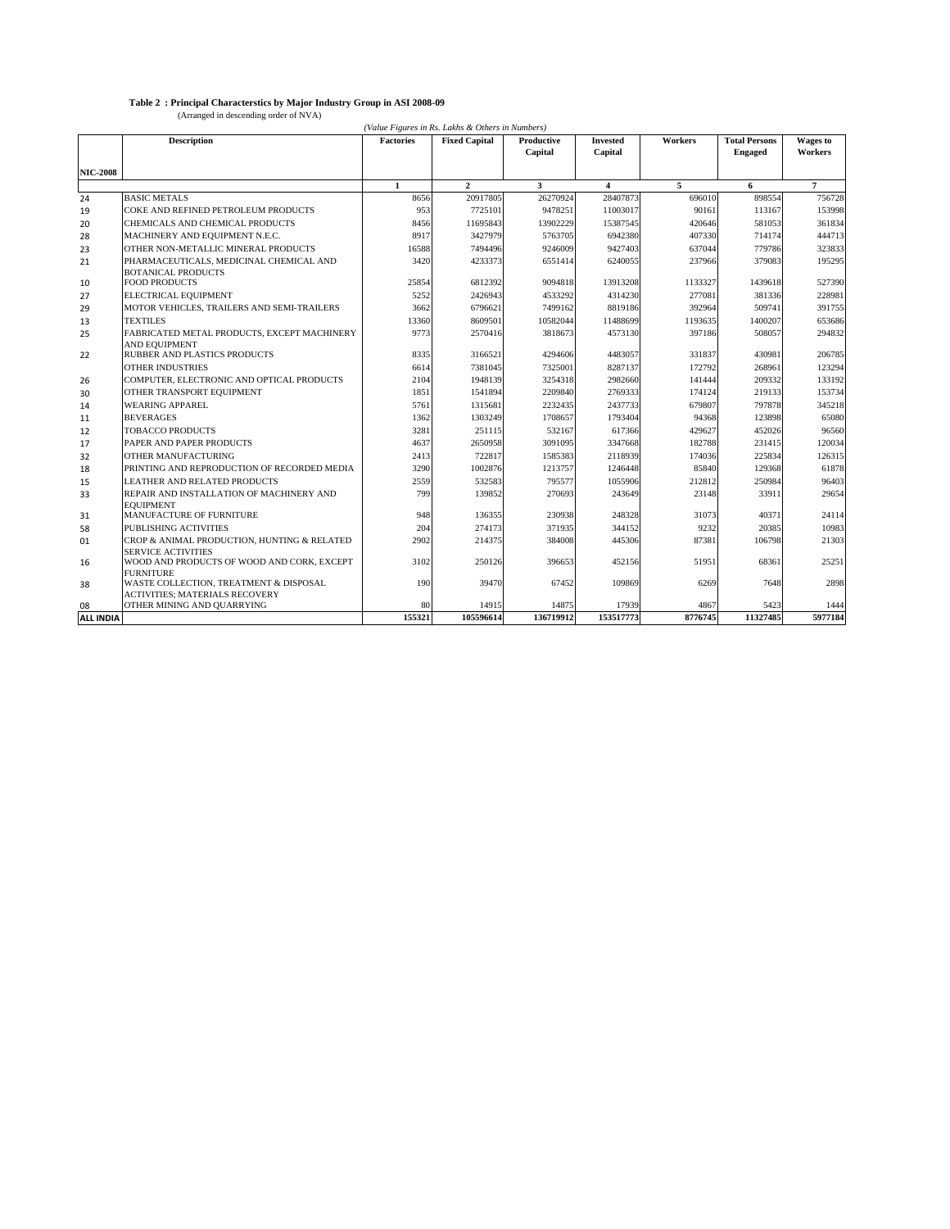## **Table 2 : Principal Characterstics by Major Industry Group in ASI 2008-09**<br>(Arranged in descending order of NVA)

*(Value Figures in Rs. Lakhs & Others in Numbers)*

|                  | <b>Description</b>                                                      | <b>Factories</b> | <b>Fixed Capital</b> | Productive<br>Capital | <b>Invested</b><br>Capital | <b>Workers</b> | <b>Total Persons</b><br><b>Engaged</b> | <b>Wages</b> to<br><b>Workers</b> |
|------------------|-------------------------------------------------------------------------|------------------|----------------------|-----------------------|----------------------------|----------------|----------------------------------------|-----------------------------------|
|                  |                                                                         |                  |                      |                       |                            |                |                                        |                                   |
| <b>NIC-2008</b>  |                                                                         | $\mathbf{1}$     | $\mathbf{2}$         | 3                     | $\overline{\mathbf{4}}$    | 5              | 6                                      | $\overline{7}$                    |
| 24               | <b>BASIC METALS</b>                                                     | 8656             | 20917805             | 26270924              | 28407873                   | 696010         | 898554                                 | 756728                            |
|                  | COKE AND REFINED PETROLEUM PRODUCTS                                     | 953              | 7725101              | 9478251               | 11003017                   | 90161          | 113167                                 | 153998                            |
| 19<br>20         | CHEMICALS AND CHEMICAL PRODUCTS                                         | 8456             | 11695843             | 13902229              | 15387545                   | 420646         | 581053                                 | 361834                            |
| 28               | MACHINERY AND EQUIPMENT N.E.C.                                          | 8917             | 3427979              | 5763705               | 6942380                    | 407330         | 714174                                 | 444713                            |
|                  | OTHER NON-METALLIC MINERAL PRODUCTS                                     | 16588            | 7494496              | 9246009               | 9427403                    | 637044         | 779786                                 | 323833                            |
| 23               | PHARMACEUTICALS, MEDICINAL CHEMICAL AND                                 | 3420             | 4233373              | 6551414               | 6240055                    | 237966         | 379083                                 | 195295                            |
| 21               | BOTANICAL PRODUCTS                                                      |                  |                      |                       |                            |                |                                        |                                   |
| 10               | <b>FOOD PRODUCTS</b>                                                    | 25854            | 6812392              | 9094818               | 13913208                   | 1133327        | 1439618                                | 527390                            |
| 27               | ELECTRICAL EQUIPMENT                                                    | 5252             | 2426943              | 4533292               | 4314230                    | 277081         | 381336                                 | 228981                            |
| 29               | MOTOR VEHICLES, TRAILERS AND SEMI-TRAILERS                              | 3662             | 6796621              | 7499162               | 8819186                    | 392964         | 509741                                 | 391755                            |
| 13               | <b>TEXTILES</b>                                                         | 13360            | 8609501              | 10582044              | 11488699                   | 1193635        | 1400207                                | 653686                            |
| 25               | FABRICATED METAL PRODUCTS, EXCEPT MACHINERY                             | 9773             | 2570416              | 3818673               | 4573130                    | 397186         | 508057                                 | 294832                            |
|                  | AND EQUIPMENT                                                           |                  |                      |                       |                            |                |                                        |                                   |
| 22               | RUBBER AND PLASTICS PRODUCTS                                            | 8335             | 3166521              | 4294606               | 4483057                    | 331837         | 430981                                 | 206785                            |
|                  | <b>OTHER INDUSTRIES</b>                                                 | 6614             | 7381045              | 7325001               | 8287137                    | 172792         | 268961                                 | 123294                            |
| 26               | COMPUTER, ELECTRONIC AND OPTICAL PRODUCTS                               | 2104             | 1948139              | 3254318               | 2982660                    | 141444         | 209332                                 | 133192                            |
| 30               | OTHER TRANSPORT EQUIPMENT                                               | 1851             | 1541894              | 2209840               | 2769333                    | 174124         | 219133                                 | 153734                            |
| 14               | <b>WEARING APPAREL</b>                                                  | 5761             | 1315681              | 2232435               | 2437733                    | 679807         | 797878                                 | 345218                            |
| 11               | <b>BEVERAGES</b>                                                        | 1362             | 1303249              | 1708657               | 1793404                    | 94368          | 123898                                 | 65080                             |
| 12               | TOBACCO PRODUCTS                                                        | 3281             | 251115               | 532167                | 617366                     | 429627         | 452026                                 | 96560                             |
| 17               | PAPER AND PAPER PRODUCTS                                                | 4637             | 2650958              | 3091095               | 3347668                    | 182788         | 231415                                 | 120034                            |
| 32               | OTHER MANUFACTURING                                                     | 2413             | 722817               | 1585383               | 2118939                    | 174036         | 225834                                 | 126315                            |
| 18               | PRINTING AND REPRODUCTION OF RECORDED MEDIA                             | 3290             | 1002876              | 1213757               | 1246448                    | 85840          | 129368                                 | 61878                             |
| 15               | LEATHER AND RELATED PRODUCTS                                            | 2559             | 532583               | 795577                | 1055906                    | 212812         | 250984                                 | 96403                             |
| 33               | REPAIR AND INSTALLATION OF MACHINERY AND                                | 799              | 139852               | 270693                | 243649                     | 23148          | 33911                                  | 29654                             |
|                  | <b>EOUIPMENT</b>                                                        |                  |                      |                       |                            |                |                                        |                                   |
| 31               | <b>MANUFACTURE OF FURNITURE</b>                                         | 948              | 136355               | 230938                | 248328                     | 31073          | 40371                                  | 24114                             |
| 58               | PUBLISHING ACTIVITIES                                                   | 204              | 274173               | 371935                | 344152                     | 9232           | 20385                                  | 10983                             |
| 01               | CROP & ANIMAL PRODUCTION, HUNTING & RELATED                             | 2902             | 214375               | 384008                | 445306                     | 87381          | 106798                                 | 21303                             |
| 16               | <b>SERVICE ACTIVITIES</b><br>WOOD AND PRODUCTS OF WOOD AND CORK, EXCEPT | 3102             | 250126               | 396653                | 452156                     | 51951          | 68361                                  | 25251                             |
|                  | <b>FURNITURE</b>                                                        |                  |                      |                       |                            |                |                                        |                                   |
| 38               | WASTE COLLECTION, TREATMENT & DISPOSAL                                  | 190              | 39470                | 67452                 | 109869                     | 6269           | 7648                                   | 2898                              |
| 08               | <b>ACTIVITIES: MATERIALS RECOVERY</b><br>OTHER MINING AND QUARRYING     | 80               | 14915                | 14875                 | 17939                      | 4867           | 5423                                   | 1444                              |
| <b>ALL INDIA</b> |                                                                         | 155321           | 105596614            | 136719912             | 153517773                  | 8776745        | 11327485                               | 5977184                           |
|                  |                                                                         |                  |                      |                       |                            |                |                                        |                                   |